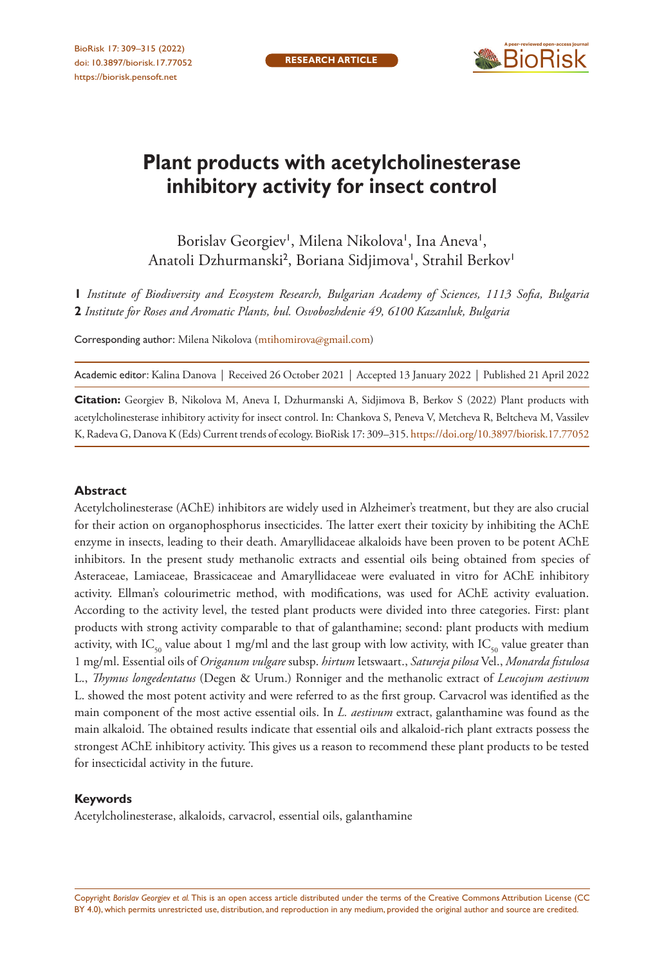

# **Plant products with acetylcholinesterase inhibitory activity for insect control**

Borislav Georgiev', Milena Nikolova', Ina Aneva', Anatoli Dzhurmanski<sup>2</sup>, Boriana Sidjimova', Strahil Berkov<sup>i</sup>

**1** *Institute of Biodiversity and Ecosystem Research, Bulgarian Academy of Sciences, 1113 Sofia, Bulgaria*  **2** *Institute for Roses and Aromatic Plants, bul. Osvobozhdenie 49, 6100 Kazanluk, Bulgaria*

Corresponding author: Milena Nikolova [\(mtihomirova@gmail.com\)](mailto:mtihomirova@gmail.com)

Academic editor: Kalina Danova | Received 26 October 2021 | Accepted 13 January 2022 | Published 21 April 2022

**Citation:** Georgiev B, Nikolova M, Aneva I, Dzhurmanski A, Sidjimova B, Berkov S (2022) Plant products with acetylcholinesterase inhibitory activity for insect control. In: Chankova S, Peneva V, Metcheva R, Beltcheva M, Vassilev K, Radeva G, Danova K (Eds) Current trends of ecology. BioRisk 17: 309–315.<https://doi.org/10.3897/biorisk.17.77052>

#### **Abstract**

Acetylcholinesterase (AChE) inhibitors are widely used in Alzheimer's treatment, but they are also crucial for their action on organophosphorus insecticides. The latter exert their toxicity by inhibiting the AChE enzyme in insects, leading to their death. Amaryllidaceae alkaloids have been proven to be potent AChE inhibitors. In the present study methanolic extracts and essential oils being obtained from species of Asteraceae, Lamiaceae, Brassicaceae and Amaryllidaceae were evaluated in vitro for AChE inhibitory activity. Ellman's colourimetric method, with modifications, was used for AChE activity evaluation. According to the activity level, the tested plant products were divided into three categories. First: plant products with strong activity comparable to that of galanthamine; second: plant products with medium activity, with IC<sub>50</sub> value about 1 mg/ml and the last group with low activity, with IC<sub>50</sub> value greater than 1 mg/ml. Essential oils of *Origanum vulgare* subsp. *hirtum* Ietswaart., *Satureja pilosa* Vel., *Monarda fistulosa* L., *Thymus longedentatus* (Degen & Urum.) Ronniger and the methanolic extract of *Leucojum aestivum* L. showed the most potent activity and were referred to as the first group. Carvacrol was identified as the main component of the most active essential oils. In *L. aestivum* extract, galanthamine was found as the main alkaloid. The obtained results indicate that essential oils and alkaloid-rich plant extracts possess the strongest AChE inhibitory activity. This gives us a reason to recommend these plant products to be tested for insecticidal activity in the future.

#### **Keywords**

Acetylcholinesterase, alkaloids, carvacrol, essential oils, galanthamine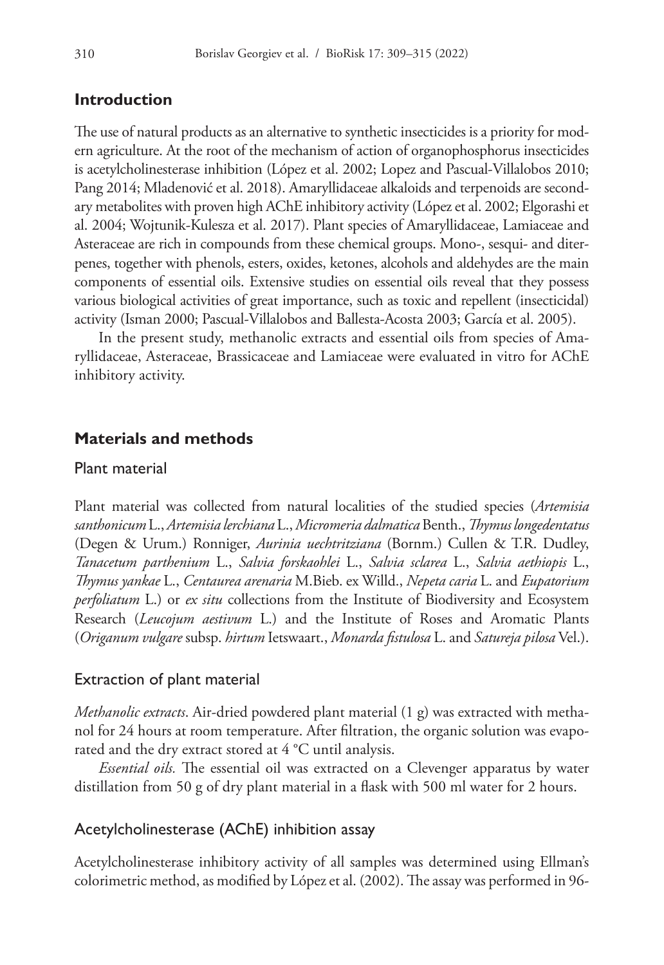# **Introduction**

The use of natural products as an alternative to synthetic insecticides is a priority for modern agriculture. At the root of the mechanism of action of organophosphorus insecticides is acetylcholinesterase inhibition (López et al. 2002; Lopez and Pascual-Villalobos 2010; Pang 2014; Mladenović et al. 2018). Amaryllidaceae alkaloids and terpenoids are secondary metabolites with proven high AChE inhibitory activity (López et al. 2002; Elgorashi et al. 2004; Wojtunik-Kulesza et al. 2017). Plant species of Amaryllidaceae, Lamiaceae and Asteraceae are rich in compounds from these chemical groups. Mono-, sesqui- and diterpenes, together with phenols, esters, oxides, ketones, alcohols and aldehydes are the main components of essential oils. Extensive studies on essential oils reveal that they possess various biological activities of great importance, such as toxic and repellent (insecticidal) activity (Isman 2000; Pascual-Villalobos and Ballesta-Acosta 2003; García et al. 2005).

In the present study, methanolic extracts and essential oils from species of Amaryllidaceae, Asteraceae, Brassicaceae and Lamiaceae were evaluated in vitro for AChE inhibitory activity.

# **Materials and methods**

#### Plant material

Plant material was collected from natural localities of the studied species (*Artemisia santhonicum* L., *Artemisia lerchiana* L., *Micromeria dalmatica* Benth., *Thymus longedentatus* (Degen & Urum.) Ronniger, *Aurinia uechtritziana* (Bornm.) Cullen & T.R. Dudley, *Tanacetum parthenium* L., *Salvia forskaohlei* L., *Salvia sclarea* L., *Salvia aethiopis* L., *Thymus yankae* L., *Centaurea arenaria* M.Bieb. ex Willd., *Nepeta caria* L. and *Eupatorium perfoliatum* L.) or *ex situ* collections from the Institute of Biodiversity and Ecosystem Research (*Leucojum aestivum* L.) and the Institute of Roses and Aromatic Plants (*Origanum vulgare* subsp. *hirtum* Ietswaart., *Monarda fistulosa* L. and *Satureja pilosa* Vel.).

#### Extraction of plant material

*Methanolic extracts*. Air-dried powdered plant material (1 g) was extracted with methanol for 24 hours at room temperature. After filtration, the organic solution was evaporated and the dry extract stored at 4 °C until analysis.

*Essential oils.* The essential oil was extracted on a Clevenger apparatus by water distillation from 50 g of dry plant material in a flask with 500 ml water for 2 hours.

### Acetylcholinesterase (AChE) inhibition assay

Acetylcholinesterase inhibitory activity of all samples was determined using Ellman's colorimetric method, as modified by López et al. (2002). The assay was performed in 96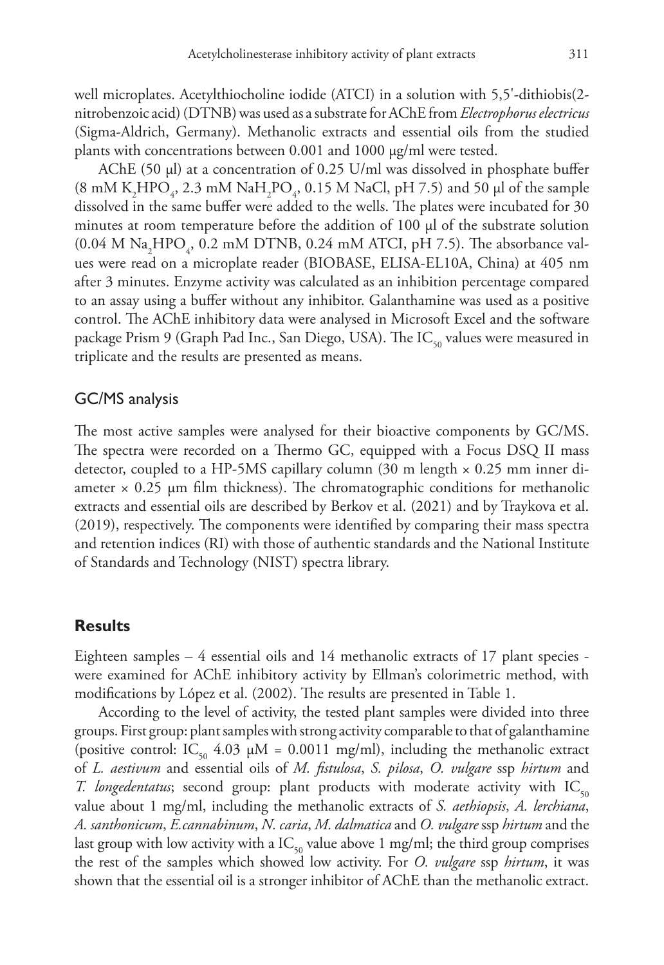well microplates. Acetylthiocholine iodide (ATCI) in a solution with 5,5'-dithiobis(2 nitrobenzoic acid) (DTNB) was used as a substrate for AChE from *Electrophorus electricus* (Sigma-Aldrich, Germany). Methanolic extracts and essential oils from the studied plants with concentrations between 0.001 and 1000 µg/ml were tested.

AChE (50 µl) at a concentration of 0.25 U/ml was dissolved in phosphate buffer (8 mM K<sub>2</sub>HPO<sub>4</sub>, 2.3 mM NaH<sub>2</sub>PO<sub>4</sub>, 0.15 M NaCl, pH 7.5) and 50 µl of the sample dissolved in the same buffer were added to the wells. The plates were incubated for 30 minutes at room temperature before the addition of  $100 \mu$  of the substrate solution  $(0.04 \text{ M Na}_2 \text{HPO}_4, 0.2 \text{ mM DTNB}, 0.24 \text{ mM ATCI}, pH 7.5)$ . The absorbance values were read on a microplate reader (BIOBASE, ELISA-EL10A, China) at 405 nm after 3 minutes. Enzyme activity was calculated as an inhibition percentage compared to an assay using a buffer without any inhibitor. Galanthamine was used as a positive control. The AChE inhibitory data were analysed in Microsoft Excel and the software package Prism 9 (Graph Pad Inc., San Diego, USA). The IC<sub>50</sub> values were measured in triplicate and the results are presented as means.

### GC/MS analysis

The most active samples were analysed for their bioactive components by GC/MS. The spectra were recorded on a Thermo GC, equipped with a Focus DSQ II mass detector, coupled to a HP-5MS capillary column (30 m length × 0.25 mm inner diameter  $\times$  0.25 µm film thickness). The chromatographic conditions for methanolic extracts and essential oils are described by Berkov et al. (2021) and by Traykova et al. (2019), respectively. The components were identified by comparing their mass spectra and retention indices (RI) with those of authentic standards and the National Institute of Standards and Technology (NIST) spectra library.

## **Results**

Eighteen samples  $-4$  essential oils and 14 methanolic extracts of 17 plant species were examined for AChE inhibitory activity by Ellman's colorimetric method, with modifications by López et al. (2002). The results are presented in Table 1.

According to the level of activity, the tested plant samples were divided into three groups. First group: plant samples with strong activity comparable to that of galanthamine (positive control: IC<sub>50</sub> 4.03  $\mu$ M = 0.0011 mg/ml), including the methanolic extract of *L. aestivum* and essential oils of *M. fistulosa*, *S. pilosa*, *O. vulgare* ssp *hirtum* and *T. longedentatus*; second group: plant products with moderate activity with  $IC_{50}$ value about 1 mg/ml, including the methanolic extracts of *S. aethiopsis*, *A. lerchiana*, *A. santhonicum*, *E.cannabinum*, *N. caria*, *M. dalmatica* and *O. vulgare* ssp *hirtum* and the last group with low activity with a  $IC_{50}$  value above 1 mg/ml; the third group comprises the rest of the samples which showed low activity. For *O. vulgare* ssp *hirtum*, it was shown that the essential oil is a stronger inhibitor of AChE than the methanolic extract.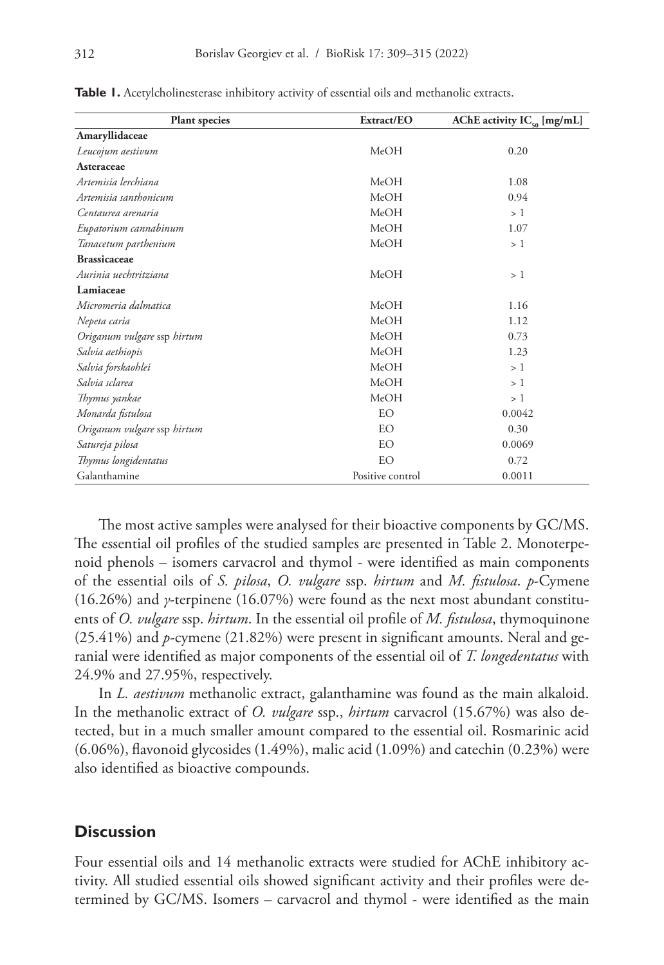| <b>Plant species</b>        | Extract/EO       | AChE activity $IC_{\epsilon_0}$ [mg/mL] |  |  |
|-----------------------------|------------------|-----------------------------------------|--|--|
| Amaryllidaceae              |                  |                                         |  |  |
| Leucojum aestivum           | MeOH             | 0.20                                    |  |  |
| Asteraceae                  |                  |                                         |  |  |
| Artemisia lerchiana         | MeOH             | 1.08                                    |  |  |
| Artemisia santhonicum       | MeOH             | 0.94                                    |  |  |
| Centaurea arenaria          | MeOH             | >1                                      |  |  |
| Eupatorium cannabinum       | MeOH             | 1.07                                    |  |  |
| Tanacetum parthenium        | MeOH             | >1                                      |  |  |
| <b>Brassicaceae</b>         |                  |                                         |  |  |
| Aurinia uechtritziana       | MeOH             | >1                                      |  |  |
| Lamiaceae                   |                  |                                         |  |  |
| Micromeria dalmatica        | MeOH             | 1.16                                    |  |  |
| Nepeta caria                | MeOH             | 1.12                                    |  |  |
| Origanum vulgare ssp hirtum | MeOH             | 0.73                                    |  |  |
| Salvia aethiopis            | MeOH             | 1.23                                    |  |  |
| Salvia forskaohlei          | MeOH             | >1                                      |  |  |
| Salvia sclarea              | MeOH             | >1                                      |  |  |
| Thymus yankae               | MeOH             | >1                                      |  |  |
| Monarda fistulosa           | EO               | 0.0042                                  |  |  |
| Origanum vulgare ssp hirtum | <b>EO</b>        | 0.30                                    |  |  |
| Satureja pilosa             | EO               | 0.0069                                  |  |  |
| Thymus longidentatus        | EO               | 0.72                                    |  |  |
| Galanthamine                | Positive control | 0.0011                                  |  |  |

**Table 1.** Acetylcholinesterase inhibitory activity of essential oils and methanolic extracts.

The most active samples were analysed for their bioactive components by GC/MS. The essential oil profiles of the studied samples are presented in Table 2. Monoterpenoid phenols – isomers carvacrol and thymol - were identified as main components of the essential oils of *S. pilosa*, *O. vulgare* ssp. *hirtum* and *M. fistulosa*. *p*-Cymene (16.26%) and *γ*-terpinene (16.07%) were found as the next most abundant constituents of *O. vulgare* ssp. *hirtum*. In the essential oil profile of *M. fistulosa*, thymoquinone (25.41%) and *p*-cymene (21.82%) were present in significant amounts. Neral and geranial were identified as major components of the essential oil of *T. longedentatus* with 24.9% and 27.95%, respectively.

In *L. aestivum* methanolic extract, galanthamine was found as the main alkaloid. In the methanolic extract of *O. vulgare* ssp., *hirtum* carvacrol (15.67%) was also detected, but in a much smaller amount compared to the essential oil. Rosmarinic acid (6.06%), flavonoid glycosides (1.49%), malic acid (1.09%) and catechin (0.23%) were also identified as bioactive compounds.

## **Discussion**

Four essential oils and 14 methanolic extracts were studied for AChE inhibitory activity. All studied essential oils showed significant activity and their profiles were determined by GC/MS. Isomers – carvacrol and thymol - were identified as the main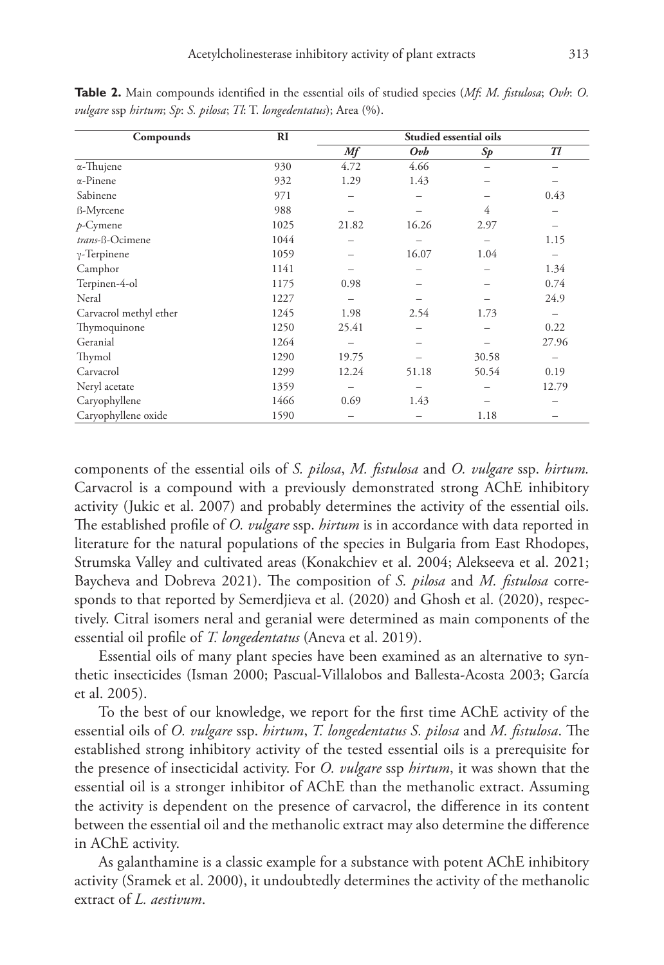| Compounds              | RI   | Studied essential oils |                 |       |       |
|------------------------|------|------------------------|-----------------|-------|-------|
|                        |      | Mf                     | O <sub>vb</sub> | Sp    | Tl    |
| $\alpha$ -Thujene      | 930  | 4.72                   | 4.66            |       |       |
| $\alpha$ -Pinene       | 932  | 1.29                   | 1.43            |       |       |
| Sabinene               | 971  |                        |                 |       | 0.43  |
| ß-Myrcene              | 988  |                        |                 | 4     |       |
| $p$ -Cymene            | 1025 | 21.82                  | 16.26           | 2.97  |       |
| trans-ß-Ocimene        | 1044 |                        |                 |       | 1.15  |
| $\gamma$ -Terpinene    | 1059 |                        | 16.07           | 1.04  |       |
| Camphor                | 1141 |                        |                 |       | 1.34  |
| Terpinen-4-ol          | 1175 | 0.98                   |                 |       | 0.74  |
| Neral                  | 1227 |                        |                 |       | 24.9  |
| Carvacrol methyl ether | 1245 | 1.98                   | 2.54            | 1.73  |       |
| Thymoquinone           | 1250 | 25.41                  |                 |       | 0.22  |
| Geranial               | 1264 |                        |                 |       | 27.96 |
| Thymol                 | 1290 | 19.75                  |                 | 30.58 |       |
| Carvacrol              | 1299 | 12.24                  | 51.18           | 50.54 | 0.19  |
| Neryl acetate          | 1359 |                        |                 |       | 12.79 |
| Caryophyllene          | 1466 | 0.69                   | 1.43            |       |       |
| Caryophyllene oxide    | 1590 |                        |                 | 1.18  |       |

**Table 2.** Main compounds identified in the essential oils of studied species (*Mf*: *M. fistulosa*; *Ovh*: *O. vulgare* ssp *hirtum*; *Sp*: *S. pilosa*; *Tl*: T. *longedentatus*); Area (%).

components of the essential oils of *S. pilosa*, *M. fistulosa* and *O. vulgare* ssp. *hirtum.* Carvacrol is a compound with a previously demonstrated strong AChE inhibitory activity (Jukic et al. 2007) and probably determines the activity of the essential oils. The established profile of *O. vulgare* ssp. *hirtum* is in accordance with data reported in literature for the natural populations of the species in Bulgaria from East Rhodopes, Strumska Valley and cultivated areas (Konakchiev et al. 2004; Alekseeva et al. 2021; Baycheva and Dobreva 2021). The composition of *S. pilosa* and *M. fistulosa* corresponds to that reported by Semerdjieva et al. (2020) and Ghosh et al. (2020), respectively. Citral isomers neral and geranial were determined as main components of the essential oil profile of *T. longedentatus* (Aneva et al. 2019).

Essential oils of many plant species have been examined as an alternative to synthetic insecticides (Isman 2000; Pascual-Villalobos and Ballesta-Acosta 2003; García et al. 2005).

To the best of our knowledge, we report for the first time AChE activity of the essential oils of *O. vulgare* ssp. *hirtum*, *T. longedentatus S. pilosa* and *M. fistulosa*. The established strong inhibitory activity of the tested essential oils is a prerequisite for the presence of insecticidal activity. For *O. vulgare* ssp *hirtum*, it was shown that the essential oil is a stronger inhibitor of AChE than the methanolic extract. Assuming the activity is dependent on the presence of carvacrol, the difference in its content between the essential oil and the methanolic extract may also determine the difference in AChE activity.

As galanthamine is a classic example for a substance with potent AChE inhibitory activity (Sramek et al. 2000), it undoubtedly determines the activity of the methanolic extract of *L. aestivum*.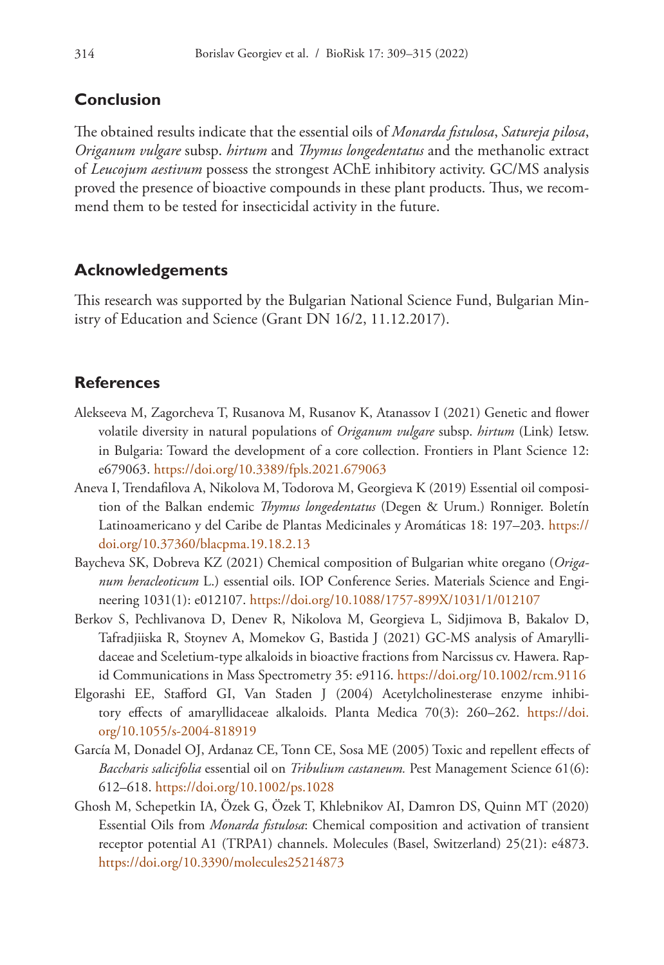# **Conclusion**

The obtained results indicate that the essential oils of *Monarda fistulosa*, *Satureja pilosa*, *Origanum vulgare* subsp. *hirtum* and *Thymus longedentatus* and the methanolic extract of *Leucojum aestivum* possess the strongest AChE inhibitory activity. GC/MS analysis proved the presence of bioactive compounds in these plant products. Thus, we recommend them to be tested for insecticidal activity in the future.

# **Acknowledgements**

This research was supported by the Bulgarian National Science Fund, Bulgarian Ministry of Education and Science (Grant DN 16/2, 11.12.2017).

# **References**

- Alekseeva M, Zagorcheva T, Rusanova M, Rusanov K, Atanassov I (2021) Genetic and flower volatile diversity in natural populations of *Origanum vulgare* subsp. *hirtum* (Link) Ietsw. in Bulgaria: Toward the development of a core collection. Frontiers in Plant Science 12: e679063.<https://doi.org/10.3389/fpls.2021.679063>
- Aneva I, Trendafilova A, Nikolova M, Todorova M, Georgieva K (2019) Essential oil composition of the Balkan endemic *Thymus longedentatus* (Degen & Urum.) Ronniger. Boletín Latinoamericano y del Caribe de Plantas Medicinales y Aromáticas 18: 197–203. [https://](https://doi.org/10.37360/blacpma.19.18.2.13) [doi.org/10.37360/blacpma.19.18.2.13](https://doi.org/10.37360/blacpma.19.18.2.13)
- Baycheva SK, Dobreva KZ (2021) Chemical composition of Bulgarian white oregano (*Origanum heracleoticum* L.) essential oils. IOP Conference Series. Materials Science and Engineering 1031(1): e012107.<https://doi.org/10.1088/1757-899X/1031/1/012107>
- Berkov S, Pechlivanova D, Denev R, Nikolova M, Georgieva L, Sidjimova B, Bakalov D, Tafradjiiska R, Stoynev A, Momekov G, Bastida J (2021) GC-MS analysis of Amaryllidaceae and Sceletium-type alkaloids in bioactive fractions from Narcissus cv. Hawera. Rapid Communications in Mass Spectrometry 35: e9116.<https://doi.org/10.1002/rcm.9116>
- Elgorashi EE, Stafford GI, Van Staden J (2004) Acetylcholinesterase enzyme inhibitory effects of amaryllidaceae alkaloids. Planta Medica 70(3): 260-262. [https://doi.](https://doi.org/10.1055/s-2004-818919) [org/10.1055/s-2004-818919](https://doi.org/10.1055/s-2004-818919)
- García M, Donadel OJ, Ardanaz CE, Tonn CE, Sosa ME (2005) Toxic and repellent effects of *Baccharis salicifolia* essential oil on *Tribulium castaneum.* Pest Management Science 61(6): 612–618.<https://doi.org/10.1002/ps.1028>
- Ghosh M, Schepetkin IA, Özek G, Özek T, Khlebnikov AI, Damron DS, Quinn MT (2020) Essential Oils from *Monarda fistulosa*: Chemical composition and activation of transient receptor potential A1 (TRPA1) channels. Molecules (Basel, Switzerland) 25(21): e4873. <https://doi.org/10.3390/molecules25214873>